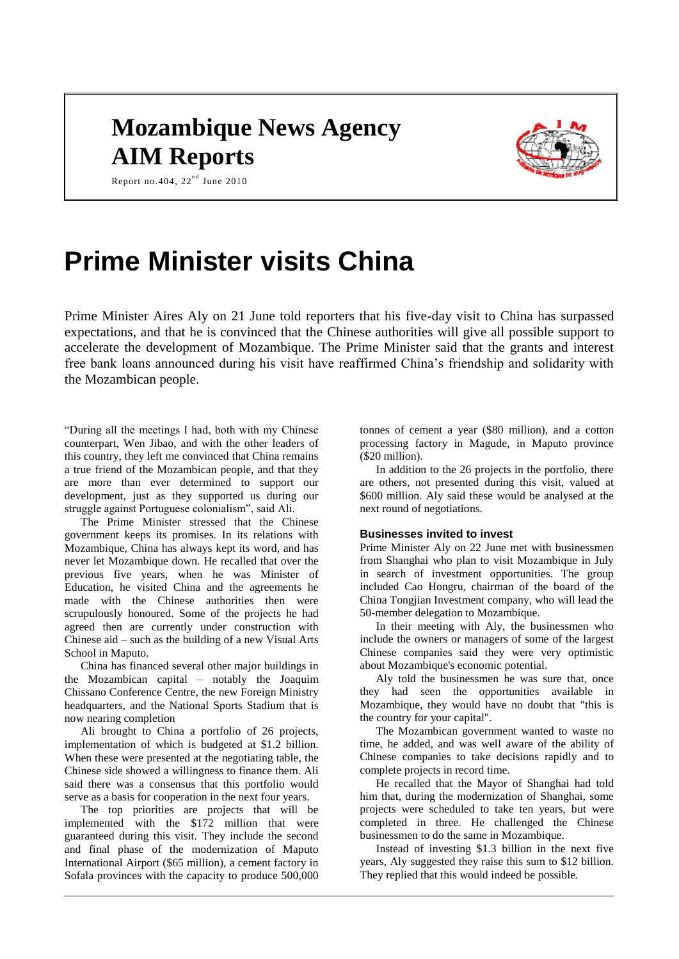# **Mozambique News Agency AIM Reports**



Report no.404,  $22<sup>nd</sup>$  June 2010

# **Prime Minister visits China**

Prime Minister Aires Aly on 21 June told reporters that his five-day visit to China has surpassed expectations, and that he is convinced that the Chinese authorities will give all possible support to accelerate the development of Mozambique. The Prime Minister said that the grants and interest free bank loans announced during his visit have reaffirmed China's friendship and solidarity with the Mozambican people.

"During all the meetings I had, both with my Chinese counterpart, Wen Jibao, and with the other leaders of this country, they left me convinced that China remains a true friend of the Mozambican people, and that they are more than ever determined to support our development, just as they supported us during our struggle against Portuguese colonialism", said Ali.

The Prime Minister stressed that the Chinese government keeps its promises. In its relations with Mozambique, China has always kept its word, and has never let Mozambique down. He recalled that over the previous five years, when he was Minister of Education, he visited China and the agreements he made with the Chinese authorities then were scrupulously honoured. Some of the projects he had agreed then are currently under construction with Chinese aid – such as the building of a new Visual Arts School in Maputo.

China has financed several other major buildings in the Mozambican capital – notably the Joaquim Chissano Conference Centre, the new Foreign Ministry headquarters, and the National Sports Stadium that is now nearing completion

Ali brought to China a portfolio of 26 projects, implementation of which is budgeted at \$1.2 billion. When these were presented at the negotiating table, the Chinese side showed a willingness to finance them. Ali said there was a consensus that this portfolio would serve as a basis for cooperation in the next four years.

The top priorities are projects that will be implemented with the \$172 million that were guaranteed during this visit. They include the second and final phase of the modernization of Maputo International Airport (\$65 million), a cement factory in Sofala provinces with the capacity to produce 500,000

tonnes of cement a year (\$80 million), and a cotton processing factory in Magude, in Maputo province (\$20 million).

In addition to the 26 projects in the portfolio, there are others, not presented during this visit, valued at \$600 million. Aly said these would be analysed at the next round of negotiations.

## **Businesses invited to invest**

Prime Minister Aly on 22 June met with businessmen from Shanghai who plan to visit Mozambique in July in search of investment opportunities. The group included Cao Hongru, chairman of the board of the China Tongjian Investment company, who will lead the 50-member delegation to Mozambique.

In their meeting with Aly, the businessmen who include the owners or managers of some of the largest Chinese companies said they were very optimistic about Mozambique's economic potential.

Aly told the businessmen he was sure that, once they had seen the opportunities available in Mozambique, they would have no doubt that "this is the country for your capital".

The Mozambican government wanted to waste no time, he added, and was well aware of the ability of Chinese companies to take decisions rapidly and to complete projects in record time.

He recalled that the Mayor of Shanghai had told him that, during the modernization of Shanghai, some projects were scheduled to take ten years, but were completed in three. He challenged the Chinese businessmen to do the same in Mozambique.

Instead of investing \$1.3 billion in the next five years, Aly suggested they raise this sum to \$12 billion. They replied that this would indeed be possible.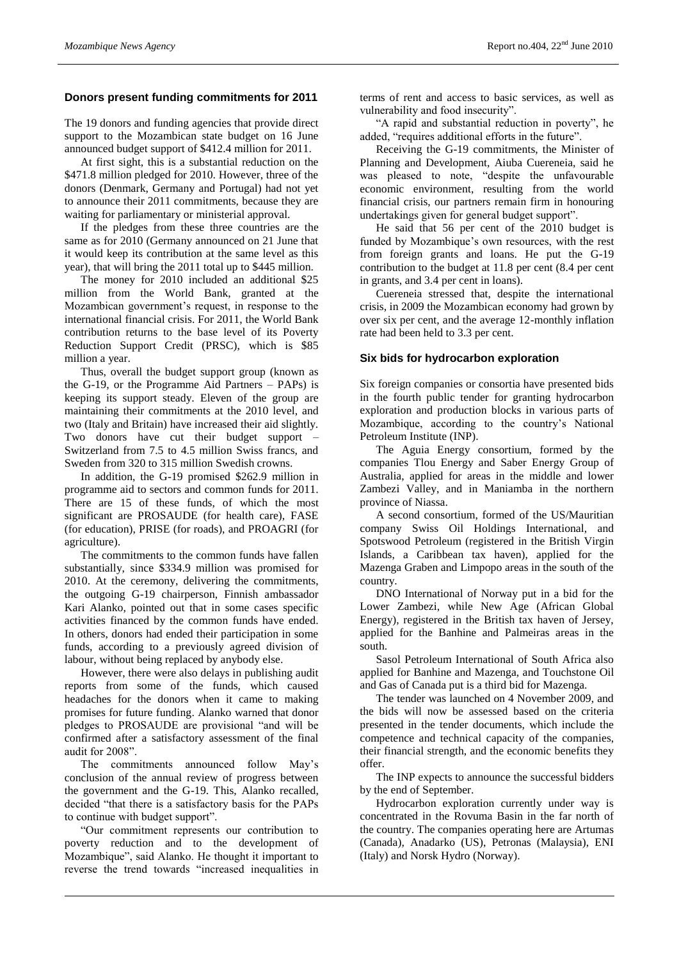# **Donors present funding commitments for 2011**

The 19 donors and funding agencies that provide direct support to the Mozambican state budget on 16 June announced budget support of \$412.4 million for 2011.

At first sight, this is a substantial reduction on the \$471.8 million pledged for 2010. However, three of the donors (Denmark, Germany and Portugal) had not yet to announce their 2011 commitments, because they are waiting for parliamentary or ministerial approval.

If the pledges from these three countries are the same as for 2010 (Germany announced on 21 June that it would keep its contribution at the same level as this year), that will bring the 2011 total up to \$445 million.

The money for 2010 included an additional \$25 million from the World Bank, granted at the Mozambican government's request, in response to the international financial crisis. For 2011, the World Bank contribution returns to the base level of its Poverty Reduction Support Credit (PRSC), which is \$85 million a year.

Thus, overall the budget support group (known as the G-19, or the Programme Aid Partners – PAPs) is keeping its support steady. Eleven of the group are maintaining their commitments at the 2010 level, and two (Italy and Britain) have increased their aid slightly. Two donors have cut their budget support – Switzerland from 7.5 to 4.5 million Swiss francs, and Sweden from 320 to 315 million Swedish crowns.

In addition, the G-19 promised \$262.9 million in programme aid to sectors and common funds for 2011. There are 15 of these funds, of which the most significant are PROSAUDE (for health care), FASE (for education), PRISE (for roads), and PROAGRI (for agriculture).

The commitments to the common funds have fallen substantially, since \$334.9 million was promised for 2010. At the ceremony, delivering the commitments, the outgoing G-19 chairperson, Finnish ambassador Kari Alanko, pointed out that in some cases specific activities financed by the common funds have ended. In others, donors had ended their participation in some funds, according to a previously agreed division of labour, without being replaced by anybody else.

However, there were also delays in publishing audit reports from some of the funds, which caused headaches for the donors when it came to making promises for future funding. Alanko warned that donor pledges to PROSAUDE are provisional "and will be confirmed after a satisfactory assessment of the final audit for 2008".

The commitments announced follow May's conclusion of the annual review of progress between the government and the G-19. This, Alanko recalled, decided "that there is a satisfactory basis for the PAPs to continue with budget support".

"Our commitment represents our contribution to poverty reduction and to the development of Mozambique", said Alanko. He thought it important to reverse the trend towards "increased inequalities in

terms of rent and access to basic services, as well as vulnerability and food insecurity".

"A rapid and substantial reduction in poverty", he added, "requires additional efforts in the future".

Receiving the G-19 commitments, the Minister of Planning and Development, Aiuba Cuereneia, said he was pleased to note, "despite the unfavourable economic environment, resulting from the world financial crisis, our partners remain firm in honouring undertakings given for general budget support".

He said that 56 per cent of the 2010 budget is funded by Mozambique's own resources, with the rest from foreign grants and loans. He put the G-19 contribution to the budget at 11.8 per cent (8.4 per cent in grants, and 3.4 per cent in loans).

Cuereneia stressed that, despite the international crisis, in 2009 the Mozambican economy had grown by over six per cent, and the average 12-monthly inflation rate had been held to 3.3 per cent.

## **Six bids for hydrocarbon exploration**

Six foreign companies or consortia have presented bids in the fourth public tender for granting hydrocarbon exploration and production blocks in various parts of Mozambique, according to the country's National Petroleum Institute (INP).

The Aguia Energy consortium, formed by the companies Tlou Energy and Saber Energy Group of Australia, applied for areas in the middle and lower Zambezi Valley, and in Maniamba in the northern province of Niassa.

A second consortium, formed of the US/Mauritian company Swiss Oil Holdings International, and Spotswood Petroleum (registered in the British Virgin Islands, a Caribbean tax haven), applied for the Mazenga Graben and Limpopo areas in the south of the country.

DNO International of Norway put in a bid for the Lower Zambezi, while New Age (African Global Energy), registered in the British tax haven of Jersey, applied for the Banhine and Palmeiras areas in the south.

Sasol Petroleum International of South Africa also applied for Banhine and Mazenga, and Touchstone Oil and Gas of Canada put is a third bid for Mazenga.

The tender was launched on 4 November 2009, and the bids will now be assessed based on the criteria presented in the tender documents, which include the competence and technical capacity of the companies, their financial strength, and the economic benefits they offer.

The INP expects to announce the successful bidders by the end of September.

Hydrocarbon exploration currently under way is concentrated in the Rovuma Basin in the far north of the country. The companies operating here are Artumas (Canada), Anadarko (US), Petronas (Malaysia), ENI (Italy) and Norsk Hydro (Norway).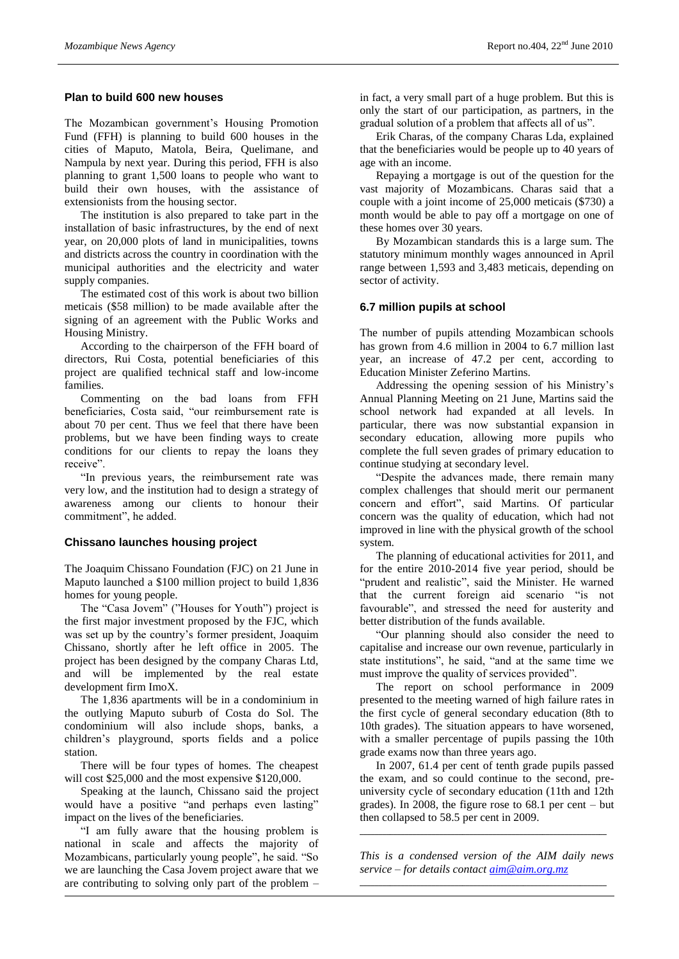# **Plan to build 600 new houses**

The Mozambican government's Housing Promotion Fund (FFH) is planning to build 600 houses in the cities of Maputo, Matola, Beira, Quelimane, and Nampula by next year. During this period, FFH is also planning to grant 1,500 loans to people who want to build their own houses, with the assistance of extensionists from the housing sector.

The institution is also prepared to take part in the installation of basic infrastructures, by the end of next year, on 20,000 plots of land in municipalities, towns and districts across the country in coordination with the municipal authorities and the electricity and water supply companies.

The estimated cost of this work is about two billion meticais (\$58 million) to be made available after the signing of an agreement with the Public Works and Housing Ministry.

According to the chairperson of the FFH board of directors, Rui Costa, potential beneficiaries of this project are qualified technical staff and low-income families.

Commenting on the bad loans from FFH beneficiaries, Costa said, "our reimbursement rate is about 70 per cent. Thus we feel that there have been problems, but we have been finding ways to create conditions for our clients to repay the loans they receive".

"In previous years, the reimbursement rate was very low, and the institution had to design a strategy of awareness among our clients to honour their commitment", he added.

## **Chissano launches housing project**

The Joaquim Chissano Foundation (FJC) on 21 June in Maputo launched a \$100 million project to build 1,836 homes for young people.

The "Casa Jovem" ("Houses for Youth") project is the first major investment proposed by the FJC, which was set up by the country's former president, Joaquim Chissano, shortly after he left office in 2005. The project has been designed by the company Charas Ltd, and will be implemented by the real estate development firm ImoX.

The 1,836 apartments will be in a condominium in the outlying Maputo suburb of Costa do Sol. The condominium will also include shops, banks, a children's playground, sports fields and a police station.

There will be four types of homes. The cheapest will cost \$25,000 and the most expensive \$120,000.

Speaking at the launch, Chissano said the project would have a positive "and perhaps even lasting" impact on the lives of the beneficiaries.

"I am fully aware that the housing problem is national in scale and affects the majority of Mozambicans, particularly young people", he said. "So we are launching the Casa Jovem project aware that we are contributing to solving only part of the problem –

in fact, a very small part of a huge problem. But this is only the start of our participation, as partners, in the gradual solution of a problem that affects all of us".

Erik Charas, of the company Charas Lda, explained that the beneficiaries would be people up to 40 years of age with an income.

Repaying a mortgage is out of the question for the vast majority of Mozambicans. Charas said that a couple with a joint income of 25,000 meticais (\$730) a month would be able to pay off a mortgage on one of these homes over 30 years.

By Mozambican standards this is a large sum. The statutory minimum monthly wages announced in April range between 1,593 and 3,483 meticais, depending on sector of activity.

## **6.7 million pupils at school**

The number of pupils attending Mozambican schools has grown from 4.6 million in 2004 to 6.7 million last year, an increase of 47.2 per cent, according to Education Minister Zeferino Martins.

Addressing the opening session of his Ministry's Annual Planning Meeting on 21 June, Martins said the school network had expanded at all levels. In particular, there was now substantial expansion in secondary education, allowing more pupils who complete the full seven grades of primary education to continue studying at secondary level.

"Despite the advances made, there remain many complex challenges that should merit our permanent concern and effort", said Martins. Of particular concern was the quality of education, which had not improved in line with the physical growth of the school system.

The planning of educational activities for 2011, and for the entire 2010-2014 five year period, should be "prudent and realistic", said the Minister. He warned that the current foreign aid scenario "is not favourable", and stressed the need for austerity and better distribution of the funds available.

"Our planning should also consider the need to capitalise and increase our own revenue, particularly in state institutions", he said, "and at the same time we must improve the quality of services provided".

The report on school performance in 2009 presented to the meeting warned of high failure rates in the first cycle of general secondary education (8th to 10th grades). The situation appears to have worsened, with a smaller percentage of pupils passing the 10th grade exams now than three years ago.

In 2007, 61.4 per cent of tenth grade pupils passed the exam, and so could continue to the second, preuniversity cycle of secondary education (11th and 12th grades). In 2008, the figure rose to 68.1 per cent – but then collapsed to 58.5 per cent in 2009.

*This is a condensed version of the AIM daily news service – for details contact [aim@aim.org.mz](mailto:aim@aim.org.mz)* \_\_\_\_\_\_\_\_\_\_\_\_\_\_\_\_\_\_\_\_\_\_\_\_\_\_\_\_\_\_\_\_\_\_\_\_\_\_\_\_\_\_\_\_\_\_\_\_\_\_\_\_\_\_\_\_\_\_\_\_\_\_\_\_\_

\_\_\_\_\_\_\_\_\_\_\_\_\_\_\_\_\_\_\_\_\_\_\_\_\_\_\_\_\_\_\_\_\_\_\_\_\_\_\_\_\_\_\_\_\_\_\_\_\_\_\_\_\_\_\_\_\_\_\_\_\_\_\_\_\_